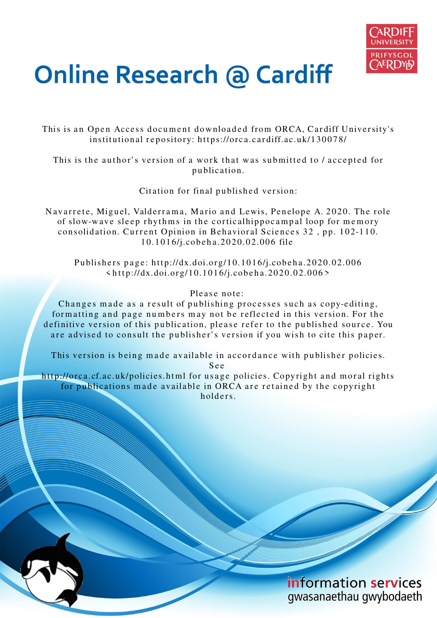

# **Online Research @ Cardiff**

This is an Open Access document downloaded from ORCA, Cardiff University's institutional repository: https://orca.cardiff.ac.uk/130078/

This is the author's version of a work that was submitted to / accepted for p u blication.

Citation for final published version:

Navarrete, Miguel, Valderrama, Mario and Lewis, Penelope A. 2020. The role of slow-wave sleep rhythms in the cortical hippocampal loop for memory consolidation. Current Opinion in Behavioral Sciences 32, pp. 102-110. 1 0.1 0 1 6/j.cob e h a.2 0 2 0.0 2.00 6 file

Publishers page: http://dx.doi.org/10.1016/j.cobeha.2020.02.006  $\langle \text{http://dx.doi.org/10.1016/j.cobeha.2020.02.006>}$ 

Please note:

Changes made as a result of publishing processes such as copy-editing, formatting and page numbers may not be reflected in this version. For the definitive version of this publication, please refer to the published source. You are advised to consult the publisher's version if you wish to cite this paper.

This version is being made available in accordance with publisher policies. S e e

http://orca.cf.ac.uk/policies.html for usage policies. Copyright and moral rights for publications made available in ORCA are retained by the copyright holders



information services gwasanaethau gwybodaeth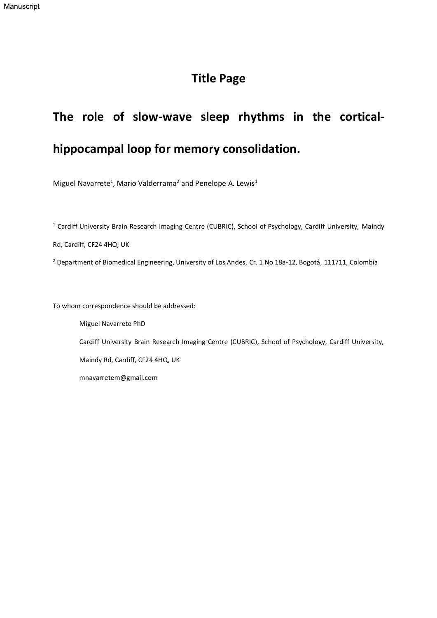### Title Page

## The role of slow-wave sleep rhythms in the cortical-

## hippocampal loop for memory consolidation.

Miguel Navarrete<sup>1</sup>, Mario Valderrama<sup>2</sup> and Penelope A. Lewis<sup>1</sup>

<sup>1</sup> Cardiff University Brain Research Imaging Centre (CUBRIC), School of Psychology, Cardiff University, Maindy

Rd, Cardiff, CF24 4HQ, UK

2 Department of Biomedical Engineering, University of Los Andes, Cr. 1 No 18a-12, Bogotá, 111711, Colombia

To whom correspondence should be addressed:

Miguel Navarrete PhD Cardiff University Brain Research Imaging Centre (CUBRIC), School of Psychology, Cardiff University, Maindy Rd, Cardiff, CF24 4HQ, UK mnavarretem@gmail.com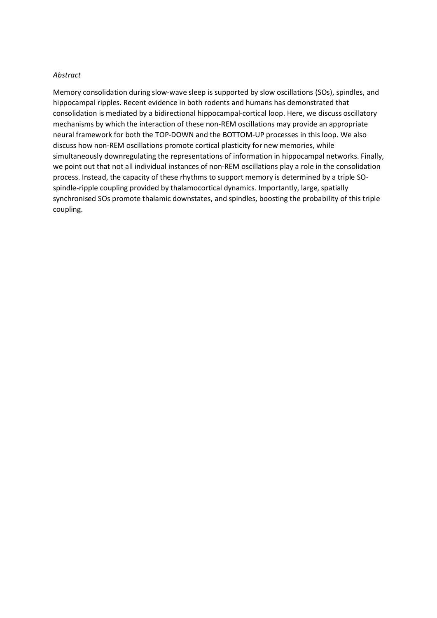#### Abstract

Memory consolidation during slow-wave sleep is supported by slow oscillations (SOs), spindles, and hippocampal ripples. Recent evidence in both rodents and humans has demonstrated that consolidation is mediated by a bidirectional hippocampal-cortical loop. Here, we discuss oscillatory mechanisms by which the interaction of these non-REM oscillations may provide an appropriate neural framework for both the TOP-DOWN and the BOTTOM-UP processes in this loop. We also discuss how non-REM oscillations promote cortical plasticity for new memories, while simultaneously downregulating the representations of information in hippocampal networks. Finally, we point out that not all individual instances of non-REM oscillations play a role in the consolidation process. Instead, the capacity of these rhythms to support memory is determined by a triple SOspindle-ripple coupling provided by thalamocortical dynamics. Importantly, large, spatially synchronised SOs promote thalamic downstates, and spindles, boosting the probability of this triple coupling.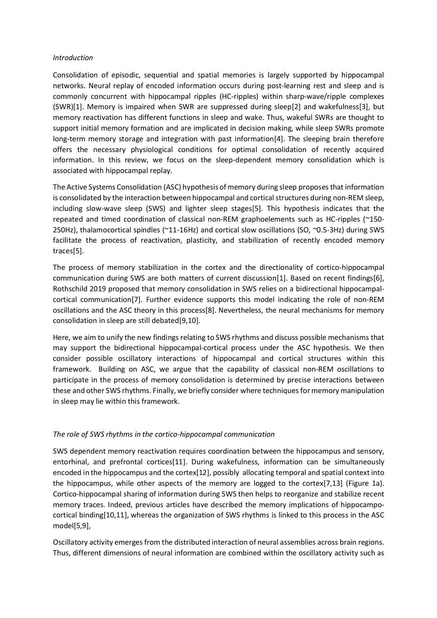#### Introduction

Consolidation of episodic, sequential and spatial memories is largely supported by hippocampal networks. Neural replay of encoded information occurs during post-learning rest and sleep and is commonly concurrent with hippocampal ripples (HC-ripples) within sharp-wave/ripple complexes (SWR)[1]. Memory is impaired when SWR are suppressed during sleep[2] and wakefulness[3], but memory reactivation has different functions in sleep and wake. Thus, wakeful SWRs are thought to support initial memory formation and are implicated in decision making, while sleep SWRs promote long-term memory storage and integration with past information[4]. The sleeping brain therefore offers the necessary physiological conditions for optimal consolidation of recently acquired information. In this review, we focus on the sleep-dependent memory consolidation which is associated with hippocampal replay.

The Active Systems Consolidation (ASC) hypothesis of memory during sleep proposes that information is consolidated by the interaction between hippocampal and cortical structures during non-REM sleep, including slow-wave sleep (SWS) and lighter sleep stages[5]. This hypothesis indicates that the repeated and timed coordination of classical non-REM graphoelements such as HC-ripples (~150- 250Hz), thalamocortical spindles (~11-16Hz) and cortical slow oscillations (SO, ~0.5-3Hz) during SWS facilitate the process of reactivation, plasticity, and stabilization of recently encoded memory traces[5].

The process of memory stabilization in the cortex and the directionality of cortico-hippocampal communication during SWS are both matters of current discussion[1]. Based on recent findings[6], Rothschild 2019 proposed that memory consolidation in SWS relies on a bidirectional hippocampalcortical communication[7]. Further evidence supports this model indicating the role of non-REM oscillations and the ASC theory in this process[8]. Nevertheless, the neural mechanisms for memory consolidation in sleep are still debated[9,10].

Here, we aim to unify the new findings relating to SWS rhythms and discuss possible mechanisms that may support the bidirectional hippocampal-cortical process under the ASC hypothesis. We then consider possible oscillatory interactions of hippocampal and cortical structures within this framework. Building on ASC, we argue that the capability of classical non-REM oscillations to participate in the process of memory consolidation is determined by precise interactions between these and other SWS rhythms. Finally, we briefly consider where techniques for memory manipulation in sleep may lie within this framework.

#### The role of SWS rhythms in the cortico-hippocampal communication

SWS dependent memory reactivation requires coordination between the hippocampus and sensory, entorhinal, and prefrontal cortices[11]. During wakefulness, information can be simultaneously encoded in the hippocampus and the cortex[12], possibly allocating temporal and spatial context into the hippocampus, while other aspects of the memory are logged to the cortex[7,13] (Figure 1a). Cortico-hippocampal sharing of information during SWS then helps to reorganize and stabilize recent memory traces. Indeed, previous articles have described the memory implications of hippocampocortical binding[10,11], whereas the organization of SWS rhythms is linked to this process in the ASC model[5,9],

Oscillatory activity emerges from the distributed interaction of neural assemblies across brain regions. Thus, different dimensions of neural information are combined within the oscillatory activity such as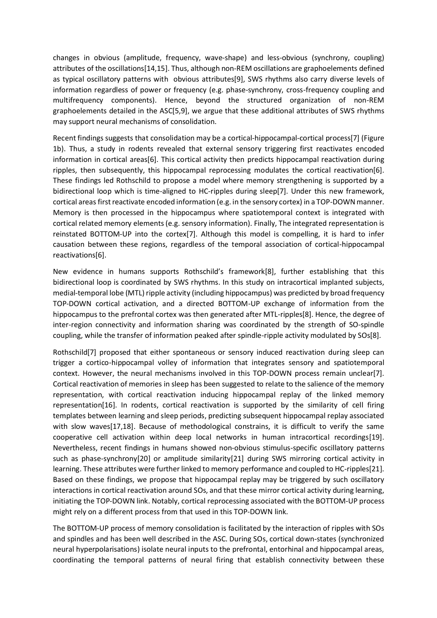changes in obvious (amplitude, frequency, wave-shape) and less-obvious (synchrony, coupling) attributes of the oscillations[14,15]. Thus, although non-REM oscillations are graphoelements defined as typical oscillatory patterns with obvious attributes[9], SWS rhythms also carry diverse levels of information regardless of power or frequency (e.g. phase-synchrony, cross-frequency coupling and multifrequency components). Hence, beyond the structured organization of non-REM graphoelements detailed in the ASC[5,9], we argue that these additional attributes of SWS rhythms may support neural mechanisms of consolidation.

Recent findings suggests that consolidation may be a cortical-hippocampal-cortical process[7] (Figure 1b). Thus, a study in rodents revealed that external sensory triggering first reactivates encoded information in cortical areas[6]. This cortical activity then predicts hippocampal reactivation during ripples, then subsequently, this hippocampal reprocessing modulates the cortical reactivation[6]. These findings led Rothschild to propose a model where memory strengthening is supported by a bidirectional loop which is time-aligned to HC-ripples during sleep[7]. Under this new framework, cortical areas first reactivate encoded information (e.g. in the sensory cortex) in a TOP-DOWN manner. Memory is then processed in the hippocampus where spatiotemporal context is integrated with cortical related memory elements (e.g. sensory information). Finally, The integrated representation is reinstated BOTTOM-UP into the cortex[7]. Although this model is compelling, it is hard to infer causation between these regions, regardless of the temporal association of cortical-hippocampal reactivations[6].

New evidence in humans supports Rothschild's framework[8], further establishing that this bidirectional loop is coordinated by SWS rhythms. In this study on intracortical implanted subjects, medial-temporal lobe (MTL) ripple activity (including hippocampus) was predicted by broad frequency TOP-DOWN cortical activation, and a directed BOTTOM-UP exchange of information from the hippocampus to the prefrontal cortex was then generated after MTL-ripples[8]. Hence, the degree of inter-region connectivity and information sharing was coordinated by the strength of SO-spindle coupling, while the transfer of information peaked after spindle-ripple activity modulated by SOs[8].

Rothschild[7] proposed that either spontaneous or sensory induced reactivation during sleep can trigger a cortico-hippocampal volley of information that integrates sensory and spatiotemporal context. However, the neural mechanisms involved in this TOP-DOWN process remain unclear[7]. Cortical reactivation of memories in sleep has been suggested to relate to the salience of the memory representation, with cortical reactivation inducing hippocampal replay of the linked memory representation[16]. In rodents, cortical reactivation is supported by the similarity of cell firing templates between learning and sleep periods, predicting subsequent hippocampal replay associated with slow waves[17,18]. Because of methodological constrains, it is difficult to verify the same cooperative cell activation within deep local networks in human intracortical recordings[19]. Nevertheless, recent findings in humans showed non-obvious stimulus-specific oscillatory patterns such as phase-synchrony[20] or amplitude similarity[21] during SWS mirroring cortical activity in learning. These attributes were further linked to memory performance and coupled to HC-ripples[21]. Based on these findings, we propose that hippocampal replay may be triggered by such oscillatory interactions in cortical reactivation around SOs, and that these mirror cortical activity during learning, initiating the TOP-DOWN link. Notably, cortical reprocessing associated with the BOTTOM-UP process might rely on a different process from that used in this TOP-DOWN link.

The BOTTOM-UP process of memory consolidation is facilitated by the interaction of ripples with SOs and spindles and has been well described in the ASC. During SOs, cortical down-states (synchronized neural hyperpolarisations) isolate neural inputs to the prefrontal, entorhinal and hippocampal areas, coordinating the temporal patterns of neural firing that establish connectivity between these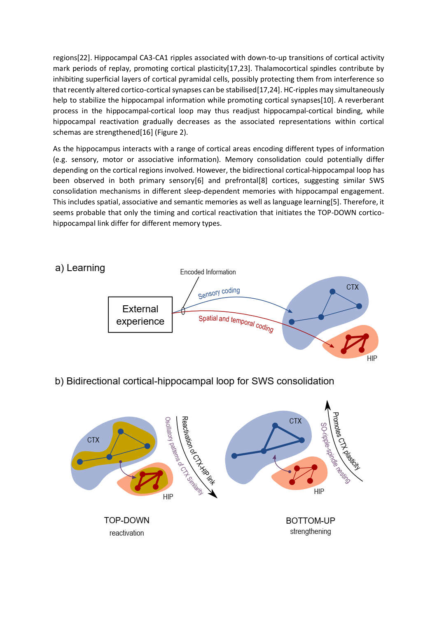regions[22]. Hippocampal CA3-CA1 ripples associated with down-to-up transitions of cortical activity mark periods of replay, promoting cortical plasticity[17,23]. Thalamocortical spindles contribute by inhibiting superficial layers of cortical pyramidal cells, possibly protecting them from interference so that recently altered cortico-cortical synapses can be stabilised[17,24]. HC-ripples may simultaneously help to stabilize the hippocampal information while promoting cortical synapses[10]. A reverberant process in the hippocampal-cortical loop may thus readjust hippocampal-cortical binding, while hippocampal reactivation gradually decreases as the associated representations within cortical schemas are strengthened[16] (Figure 2).

As the hippocampus interacts with a range of cortical areas encoding different types of information (e.g. sensory, motor or associative information). Memory consolidation could potentially differ depending on the cortical regions involved. However, the bidirectional cortical-hippocampal loop has been observed in both primary sensory[6] and prefrontal[8] cortices, suggesting similar SWS consolidation mechanisms in different sleep-dependent memories with hippocampal engagement. This includes spatial, associative and semantic memories as well as language learning[5]. Therefore, it seems probable that only the timing and cortical reactivation that initiates the TOP-DOWN corticohippocampal link differ for different memory types.



#### b) Bidirectional cortical-hippocampal loop for SWS consolidation

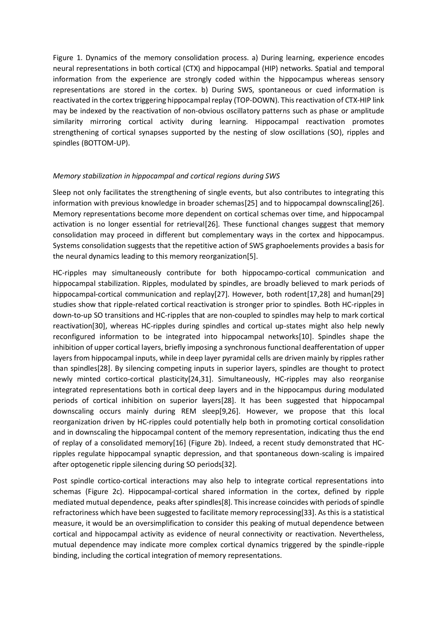Figure 1. Dynamics of the memory consolidation process. a) During learning, experience encodes neural representations in both cortical (CTX) and hippocampal (HIP) networks. Spatial and temporal information from the experience are strongly coded within the hippocampus whereas sensory representations are stored in the cortex. b) During SWS, spontaneous or cued information is reactivated in the cortex triggering hippocampal replay (TOP-DOWN). This reactivation of CTX-HIP link may be indexed by the reactivation of non-obvious oscillatory patterns such as phase or amplitude similarity mirroring cortical activity during learning. Hippocampal reactivation promotes strengthening of cortical synapses supported by the nesting of slow oscillations (SO), ripples and spindles (BOTTOM-UP).

#### Memory stabilization in hippocampal and cortical regions during SWS

Sleep not only facilitates the strengthening of single events, but also contributes to integrating this information with previous knowledge in broader schemas[25] and to hippocampal downscaling[26]. Memory representations become more dependent on cortical schemas over time, and hippocampal activation is no longer essential for retrieval[26]. These functional changes suggest that memory consolidation may proceed in different but complementary ways in the cortex and hippocampus. Systems consolidation suggests that the repetitive action of SWS graphoelements provides a basis for the neural dynamics leading to this memory reorganization[5].

HC-ripples may simultaneously contribute for both hippocampo-cortical communication and hippocampal stabilization. Ripples, modulated by spindles, are broadly believed to mark periods of hippocampal-cortical communication and replay[27]. However, both rodent[17,28] and human[29] studies show that ripple-related cortical reactivation is stronger prior to spindles. Both HC-ripples in down-to-up SO transitions and HC-ripples that are non-coupled to spindles may help to mark cortical reactivation[30], whereas HC-ripples during spindles and cortical up-states might also help newly reconfigured information to be integrated into hippocampal networks[10]. Spindles shape the inhibition of upper cortical layers, briefly imposing a synchronous functional deafferentation of upper layers from hippocampal inputs, while in deep layer pyramidal cells are driven mainly by ripples rather than spindles[28]. By silencing competing inputs in superior layers, spindles are thought to protect newly minted cortico-cortical plasticity[24,31]. Simultaneously, HC-ripples may also reorganise integrated representations both in cortical deep layers and in the hippocampus during modulated periods of cortical inhibition on superior layers[28]. It has been suggested that hippocampal downscaling occurs mainly during REM sleep[9,26]. However, we propose that this local reorganization driven by HC-ripples could potentially help both in promoting cortical consolidation and in downscaling the hippocampal content of the memory representation, indicating thus the end of replay of a consolidated memory[16] (Figure 2b). Indeed, a recent study demonstrated that HCripples regulate hippocampal synaptic depression, and that spontaneous down-scaling is impaired after optogenetic ripple silencing during SO periods[32].

Post spindle cortico-cortical interactions may also help to integrate cortical representations into schemas (Figure 2c). Hippocampal-cortical shared information in the cortex, defined by ripple mediated mutual dependence, peaks after spindles[8]. This increase coincides with periods of spindle refractoriness which have been suggested to facilitate memory reprocessing[33]. As this is a statistical measure, it would be an oversimplification to consider this peaking of mutual dependence between cortical and hippocampal activity as evidence of neural connectivity or reactivation. Nevertheless, mutual dependence may indicate more complex cortical dynamics triggered by the spindle-ripple binding, including the cortical integration of memory representations.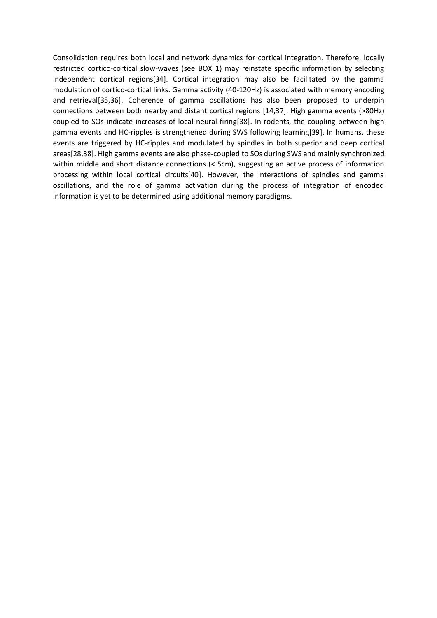Consolidation requires both local and network dynamics for cortical integration. Therefore, locally restricted cortico-cortical slow-waves (see BOX 1) may reinstate specific information by selecting independent cortical regions[34]. Cortical integration may also be facilitated by the gamma modulation of cortico-cortical links. Gamma activity (40-120Hz) is associated with memory encoding and retrieval[35,36]. Coherence of gamma oscillations has also been proposed to underpin connections between both nearby and distant cortical regions [14,37]. High gamma events (>80Hz) coupled to SOs indicate increases of local neural firing[38]. In rodents, the coupling between high gamma events and HC-ripples is strengthened during SWS following learning[39]. In humans, these events are triggered by HC-ripples and modulated by spindles in both superior and deep cortical areas[28,38]. High gamma events are also phase-coupled to SOs during SWS and mainly synchronized within middle and short distance connections (< 5cm), suggesting an active process of information processing within local cortical circuits[40]. However, the interactions of spindles and gamma oscillations, and the role of gamma activation during the process of integration of encoded information is yet to be determined using additional memory paradigms.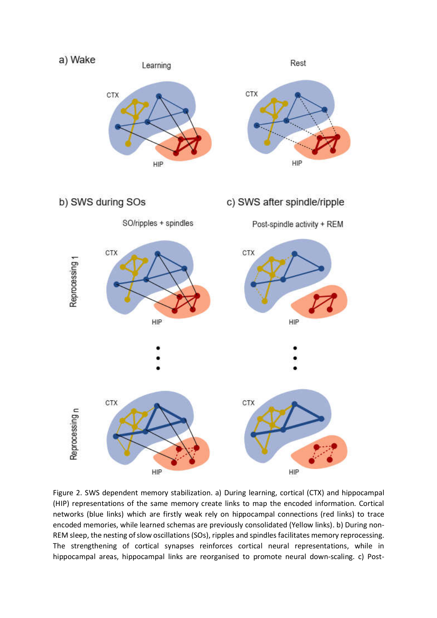

Figure 2. SWS dependent memory stabilization. a) During learning, cortical (CTX) and hippocampal (HIP) representations of the same memory create links to map the encoded information. Cortical networks (blue links) which are firstly weak rely on hippocampal connections (red links) to trace encoded memories, while learned schemas are previously consolidated (Yellow links). b) During non-REM sleep, the nesting of slow oscillations (SOs), ripples and spindles facilitates memory reprocessing. The strengthening of cortical synapses reinforces cortical neural representations, while in hippocampal areas, hippocampal links are reorganised to promote neural down-scaling. c) Post-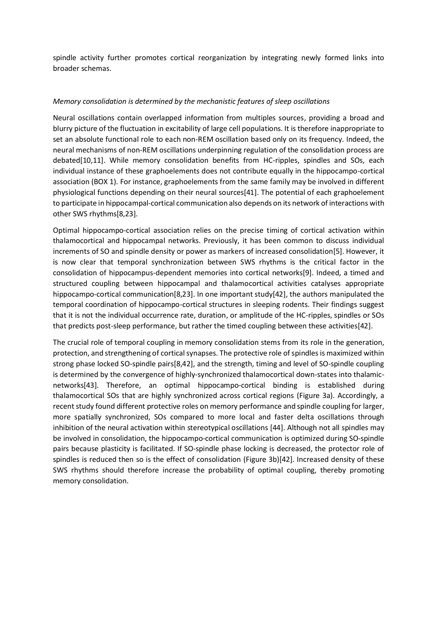spindle activity further promotes cortical reorganization by integrating newly formed links into broader schemas.

#### Memory consolidation is determined by the mechanistic features of sleep oscillations

Neural oscillations contain overlapped information from multiples sources, providing a broad and blurry picture of the fluctuation in excitability of large cell populations. It is therefore inappropriate to set an absolute functional role to each non-REM oscillation based only on its frequency. Indeed, the neural mechanisms of non-REM oscillations underpinning regulation of the consolidation process are debated[10,11]. While memory consolidation benefits from HC-ripples, spindles and SOs, each individual instance of these graphoelements does not contribute equally in the hippocampo-cortical association (BOX 1). For instance, graphoelements from the same family may be involved in different physiological functions depending on their neural sources[41]. The potential of each graphoelement to participate in hippocampal-cortical communication also depends on its network of interactions with other SWS rhythms[8,23].

Optimal hippocampo-cortical association relies on the precise timing of cortical activation within thalamocortical and hippocampal networks. Previously, it has been common to discuss individual increments of SO and spindle density or power as markers of increased consolidation[5]. However, it is now clear that temporal synchronization between SWS rhythms is the critical factor in the consolidation of hippocampus-dependent memories into cortical networks[9]. Indeed, a timed and structured coupling between hippocampal and thalamocortical activities catalyses appropriate hippocampo-cortical communication[8,23]. In one important study[42], the authors manipulated the temporal coordination of hippocampo-cortical structures in sleeping rodents. Their findings suggest that it is not the individual occurrence rate, duration, or amplitude of the HC-ripples, spindles or SOs that predicts post-sleep performance, but rather the timed coupling between these activities[42].

The crucial role of temporal coupling in memory consolidation stems from its role in the generation, protection, and strengthening of cortical synapses. The protective role of spindles is maximized within strong phase locked SO-spindle pairs[8,42], and the strength, timing and level of SO-spindle coupling is determined by the convergence of highly-synchronized thalamocortical down-states into thalamicnetworks[43]. Therefore, an optimal hippocampo-cortical binding is established during thalamocortical SOs that are highly synchronized across cortical regions (Figure 3a). Accordingly, a recent study found different protective roles on memory performance and spindle coupling for larger, more spatially synchronized, SOs compared to more local and faster delta oscillations through inhibition of the neural activation within stereotypical oscillations [44]. Although not all spindles may be involved in consolidation, the hippocampo-cortical communication is optimized during SO-spindle pairs because plasticity is facilitated. If SO-spindle phase locking is decreased, the protector role of spindles is reduced then so is the effect of consolidation (Figure 3b)[42]. Increased density of these SWS rhythms should therefore increase the probability of optimal coupling, thereby promoting memory consolidation.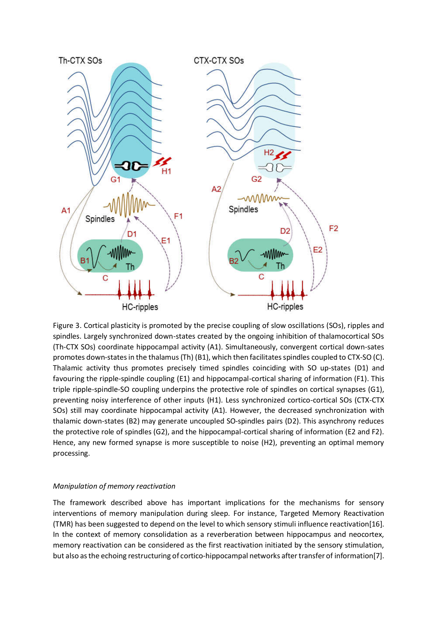

Figure 3. Cortical plasticity is promoted by the precise coupling of slow oscillations (SOs), ripples and spindles. Largely synchronized down-states created by the ongoing inhibition of thalamocortical SOs (Th-CTX SOs) coordinate hippocampal activity (A1). Simultaneously, convergent cortical down-sates promotes down-states in the thalamus (Th) (B1), which then facilitates spindles coupled to CTX-SO (C). Thalamic activity thus promotes precisely timed spindles coinciding with SO up-states (D1) and favouring the ripple-spindle coupling (E1) and hippocampal-cortical sharing of information (F1). This triple ripple-spindle-SO coupling underpins the protective role of spindles on cortical synapses (G1), preventing noisy interference of other inputs (H1). Less synchronized cortico-cortical SOs (CTX-CTX SOs) still may coordinate hippocampal activity (A1). However, the decreased synchronization with thalamic down-states (B2) may generate uncoupled SO-spindles pairs (D2). This asynchrony reduces the protective role of spindles (G2), and the hippocampal-cortical sharing of information (E2 and F2). Hence, any new formed synapse is more susceptible to noise (H2), preventing an optimal memory processing.

#### Manipulation of memory reactivation

The framework described above has important implications for the mechanisms for sensory interventions of memory manipulation during sleep. For instance, Targeted Memory Reactivation (TMR) has been suggested to depend on the level to which sensory stimuli influence reactivation[16]. In the context of memory consolidation as a reverberation between hippocampus and neocortex, memory reactivation can be considered as the first reactivation initiated by the sensory stimulation, but also as the echoing restructuring of cortico-hippocampal networks after transfer of information[7].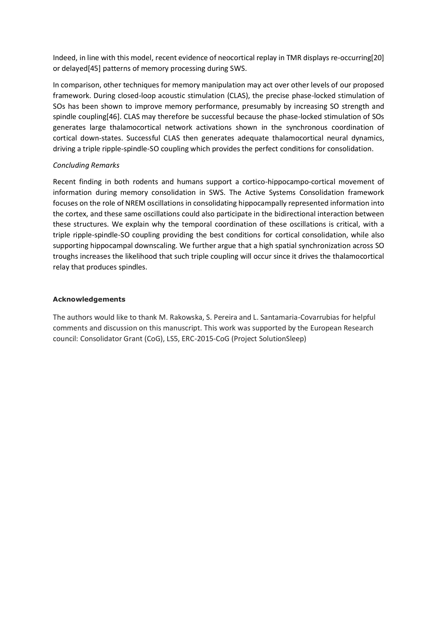Indeed, in line with this model, recent evidence of neocortical replay in TMR displays re-occurring[20] or delayed[45] patterns of memory processing during SWS.

In comparison, other techniques for memory manipulation may act over other levels of our proposed framework. During closed-loop acoustic stimulation (CLAS), the precise phase-locked stimulation of SOs has been shown to improve memory performance, presumably by increasing SO strength and spindle coupling[46]. CLAS may therefore be successful because the phase-locked stimulation of SOs generates large thalamocortical network activations shown in the synchronous coordination of cortical down-states. Successful CLAS then generates adequate thalamocortical neural dynamics, driving a triple ripple-spindle-SO coupling which provides the perfect conditions for consolidation.

#### Concluding Remarks

Recent finding in both rodents and humans support a cortico-hippocampo-cortical movement of information during memory consolidation in SWS. The Active Systems Consolidation framework focuses on the role of NREM oscillations in consolidating hippocampally represented information into the cortex, and these same oscillations could also participate in the bidirectional interaction between these structures. We explain why the temporal coordination of these oscillations is critical, with a triple ripple-spindle-SO coupling providing the best conditions for cortical consolidation, while also supporting hippocampal downscaling. We further argue that a high spatial synchronization across SO troughs increases the likelihood that such triple coupling will occur since it drives the thalamocortical relay that produces spindles.

#### Acknowledgements

The authors would like to thank M. Rakowska, S. Pereira and L. Santamaria-Covarrubias for helpful comments and discussion on this manuscript. This work was supported by the European Research council: Consolidator Grant (CoG), LS5, ERC-2015-CoG (Project SolutionSleep)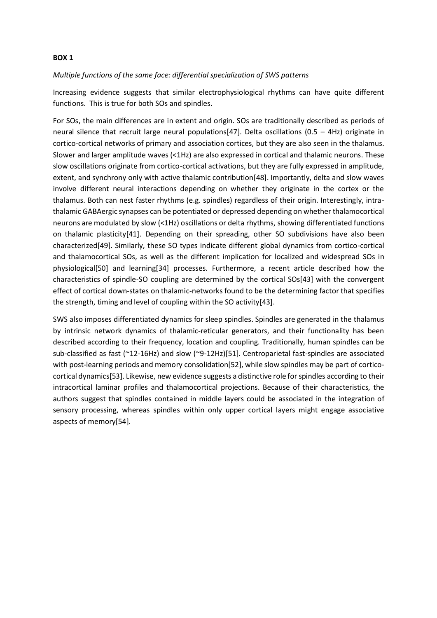#### BOX 1

#### Multiple functions of the same face: differential specialization of SWS patterns

Increasing evidence suggests that similar electrophysiological rhythms can have quite different functions. This is true for both SOs and spindles.

For SOs, the main differences are in extent and origin. SOs are traditionally described as periods of neural silence that recruit large neural populations[47]. Delta oscillations (0.5 – 4Hz) originate in cortico-cortical networks of primary and association cortices, but they are also seen in the thalamus. Slower and larger amplitude waves (<1Hz) are also expressed in cortical and thalamic neurons. These slow oscillations originate from cortico-cortical activations, but they are fully expressed in amplitude, extent, and synchrony only with active thalamic contribution[48]. Importantly, delta and slow waves involve different neural interactions depending on whether they originate in the cortex or the thalamus. Both can nest faster rhythms (e.g. spindles) regardless of their origin. Interestingly, intrathalamic GABAergic synapses can be potentiated or depressed depending on whether thalamocortical neurons are modulated by slow (<1Hz) oscillations or delta rhythms, showing differentiated functions on thalamic plasticity[41]. Depending on their spreading, other SO subdivisions have also been characterized[49]. Similarly, these SO types indicate different global dynamics from cortico-cortical and thalamocortical SOs, as well as the different implication for localized and widespread SOs in physiological[50] and learning[34] processes. Furthermore, a recent article described how the characteristics of spindle-SO coupling are determined by the cortical SOs[43] with the convergent effect of cortical down-states on thalamic-networks found to be the determining factor that specifies the strength, timing and level of coupling within the SO activity[43].

SWS also imposes differentiated dynamics for sleep spindles. Spindles are generated in the thalamus by intrinsic network dynamics of thalamic-reticular generators, and their functionality has been described according to their frequency, location and coupling. Traditionally, human spindles can be sub-classified as fast (~12-16Hz) and slow (~9-12Hz)[51]. Centroparietal fast-spindles are associated with post-learning periods and memory consolidation[52], while slow spindles may be part of corticocortical dynamics[53]. Likewise, new evidence suggests a distinctive role for spindles according to their intracortical laminar profiles and thalamocortical projections. Because of their characteristics, the authors suggest that spindles contained in middle layers could be associated in the integration of sensory processing, whereas spindles within only upper cortical layers might engage associative aspects of memory[54].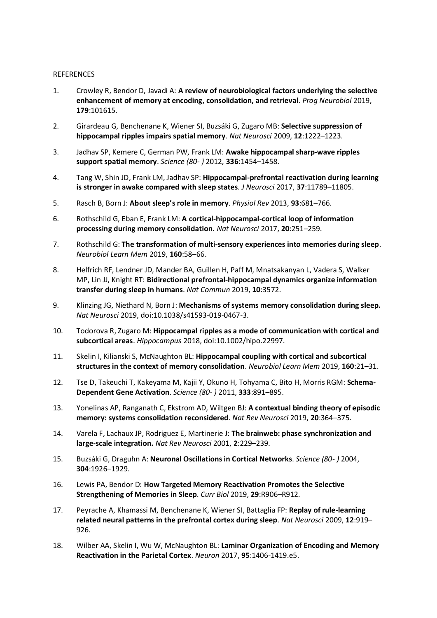#### **REFERENCES**

- 1. Crowley R, Bendor D, Javadi A: A review of neurobiological factors underlying the selective enhancement of memory at encoding, consolidation, and retrieval. Prog Neurobiol 2019, 179:101615.
- 2. Girardeau G, Benchenane K, Wiener SI, Buzsáki G, Zugaro MB: Selective suppression of hippocampal ripples impairs spatial memory. Nat Neurosci 2009, 12:1222–1223.
- 3. Jadhav SP, Kemere C, German PW, Frank LM: Awake hippocampal sharp-wave ripples support spatial memory. Science (80- ) 2012, 336:1454–1458.
- 4. Tang W, Shin JD, Frank LM, Jadhav SP: Hippocampal-prefrontal reactivation during learning is stronger in awake compared with sleep states. J Neurosci 2017, 37:11789–11805.
- 5. Rasch B, Born J: About sleep's role in memory. Physiol Rev 2013, 93:681–766.
- 6. Rothschild G, Eban E, Frank LM: A cortical-hippocampal-cortical loop of information processing during memory consolidation. Nat Neurosci 2017, 20:251–259.
- 7. Rothschild G: The transformation of multi-sensory experiences into memories during sleep. Neurobiol Learn Mem 2019, 160:58–66.
- 8. Helfrich RF, Lendner JD, Mander BA, Guillen H, Paff M, Mnatsakanyan L, Vadera S, Walker MP, Lin JJ, Knight RT: Bidirectional prefrontal-hippocampal dynamics organize information transfer during sleep in humans. Nat Commun 2019, 10:3572.
- 9. Klinzing JG, Niethard N, Born J: Mechanisms of systems memory consolidation during sleep. Nat Neurosci 2019, doi:10.1038/s41593-019-0467-3.
- 10. Todorova R, Zugaro M: Hippocampal ripples as a mode of communication with cortical and subcortical areas. Hippocampus 2018, doi:10.1002/hipo.22997.
- 11. Skelin I, Kilianski S, McNaughton BL: Hippocampal coupling with cortical and subcortical structures in the context of memory consolidation. Neurobiol Learn Mem 2019, 160:21–31.
- 12. Tse D, Takeuchi T, Kakeyama M, Kajii Y, Okuno H, Tohyama C, Bito H, Morris RGM: Schema-Dependent Gene Activation. Science (80- ) 2011, 333:891–895.
- 13. Yonelinas AP, Ranganath C, Ekstrom AD, Wiltgen BJ: A contextual binding theory of episodic memory: systems consolidation reconsidered. Nat Rev Neurosci 2019, 20:364–375.
- 14. Varela F, Lachaux JP, Rodriguez E, Martinerie J: The brainweb: phase synchronization and large-scale integration. Nat Rev Neurosci 2001, 2:229–239.
- 15. Buzsáki G, Draguhn A: Neuronal Oscillations in Cortical Networks. Science (80- ) 2004, 304:1926–1929.
- 16. Lewis PA, Bendor D: How Targeted Memory Reactivation Promotes the Selective Strengthening of Memories in Sleep. Curr Biol 2019, 29:R906–R912.
- 17. Peyrache A, Khamassi M, Benchenane K, Wiener SI, Battaglia FP: Replay of rule-learning related neural patterns in the prefrontal cortex during sleep. Nat Neurosci 2009, 12:919– 926.
- 18. Wilber AA, Skelin I, Wu W, McNaughton BL: Laminar Organization of Encoding and Memory Reactivation in the Parietal Cortex. Neuron 2017, 95:1406-1419.e5.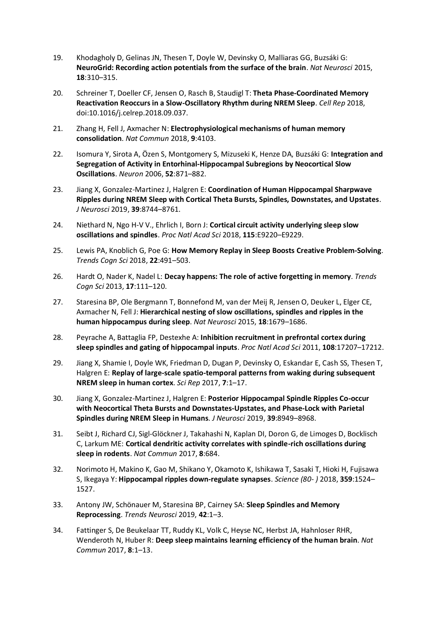- 19. Khodagholy D, Gelinas JN, Thesen T, Doyle W, Devinsky O, Malliaras GG, Buzsáki G: NeuroGrid: Recording action potentials from the surface of the brain. Nat Neurosci 2015, 18:310–315.
- 20. Schreiner T, Doeller CF, Jensen O, Rasch B, Staudigl T: Theta Phase-Coordinated Memory Reactivation Reoccurs in a Slow-Oscillatory Rhythm during NREM Sleep. Cell Rep 2018, doi:10.1016/j.celrep.2018.09.037.
- 21. Zhang H, Fell J, Axmacher N: Electrophysiological mechanisms of human memory consolidation. Nat Commun 2018, 9:4103.
- 22. Isomura Y, Sirota A, Özen S, Montgomery S, Mizuseki K, Henze DA, Buzsáki G: Integration and Segregation of Activity in Entorhinal-Hippocampal Subregions by Neocortical Slow Oscillations. Neuron 2006, 52:871–882.
- 23. Jiang X, Gonzalez-Martinez J, Halgren E: Coordination of Human Hippocampal Sharpwave Ripples during NREM Sleep with Cortical Theta Bursts, Spindles, Downstates, and Upstates. J Neurosci 2019, 39:8744–8761.
- 24. Niethard N, Ngo H-V V., Ehrlich I, Born J: Cortical circuit activity underlying sleep slow oscillations and spindles. Proc Natl Acad Sci 2018, 115:E9220–E9229.
- 25. Lewis PA, Knoblich G, Poe G: How Memory Replay in Sleep Boosts Creative Problem-Solving. Trends Cogn Sci 2018, 22:491–503.
- 26. Hardt O, Nader K, Nadel L: Decay happens: The role of active forgetting in memory. Trends Cogn Sci 2013, 17:111–120.
- 27. Staresina BP, Ole Bergmann T, Bonnefond M, van der Meij R, Jensen O, Deuker L, Elger CE, Axmacher N, Fell J: Hierarchical nesting of slow oscillations, spindles and ripples in the human hippocampus during sleep. Nat Neurosci 2015, 18:1679–1686.
- 28. Peyrache A, Battaglia FP, Destexhe A: Inhibition recruitment in prefrontal cortex during sleep spindles and gating of hippocampal inputs. Proc Natl Acad Sci 2011, 108:17207–17212.
- 29. Jiang X, Shamie I, Doyle WK, Friedman D, Dugan P, Devinsky O, Eskandar E, Cash SS, Thesen T, Halgren E: Replay of large-scale spatio-temporal patterns from waking during subsequent NREM sleep in human cortex. Sci Rep 2017, 7:1–17.
- 30. Jiang X, Gonzalez-Martinez J, Halgren E: Posterior Hippocampal Spindle Ripples Co-occur with Neocortical Theta Bursts and Downstates-Upstates, and Phase-Lock with Parietal Spindles during NREM Sleep in Humans. J Neurosci 2019, 39:8949–8968.
- 31. Seibt J, Richard CJ, Sigl-Glöckner J, Takahashi N, Kaplan DI, Doron G, de Limoges D, Bocklisch C, Larkum ME: Cortical dendritic activity correlates with spindle-rich oscillations during sleep in rodents. Nat Commun 2017, 8:684.
- 32. Norimoto H, Makino K, Gao M, Shikano Y, Okamoto K, Ishikawa T, Sasaki T, Hioki H, Fujisawa S, Ikegaya Y: Hippocampal ripples down-regulate synapses. Science (80- ) 2018, 359:1524– 1527.
- 33. Antony JW, Schönauer M, Staresina BP, Cairney SA: Sleep Spindles and Memory Reprocessing. Trends Neurosci 2019, 42:1–3.
- 34. Fattinger S, De Beukelaar TT, Ruddy KL, Volk C, Heyse NC, Herbst JA, Hahnloser RHR, Wenderoth N, Huber R: Deep sleep maintains learning efficiency of the human brain. Nat Commun 2017, 8:1–13.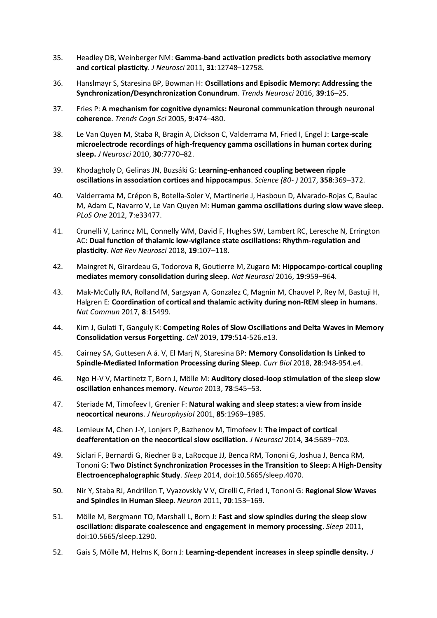- 35. Headley DB, Weinberger NM: Gamma-band activation predicts both associative memory and cortical plasticity. J Neurosci 2011, 31:12748–12758.
- 36. Hanslmayr S, Staresina BP, Bowman H: Oscillations and Episodic Memory: Addressing the Synchronization/Desynchronization Conundrum. Trends Neurosci 2016, 39:16–25.
- 37. Fries P: A mechanism for cognitive dynamics: Neuronal communication through neuronal coherence. Trends Cogn Sci 2005, 9:474–480.
- 38. Le Van Quyen M, Staba R, Bragin A, Dickson C, Valderrama M, Fried I, Engel J: Large-scale microelectrode recordings of high-frequency gamma oscillations in human cortex during sleep. J Neurosci 2010, 30:7770–82.
- 39. Khodagholy D, Gelinas JN, Buzsáki G: Learning-enhanced coupling between ripple oscillations in association cortices and hippocampus. Science (80- ) 2017, 358:369–372.
- 40. Valderrama M, Crépon B, Botella-Soler V, Martinerie J, Hasboun D, Alvarado-Rojas C, Baulac M, Adam C, Navarro V, Le Van Quyen M: Human gamma oscillations during slow wave sleep. PLoS One 2012, 7:e33477.
- 41. Crunelli V, Larincz ML, Connelly WM, David F, Hughes SW, Lambert RC, Leresche N, Errington AC: Dual function of thalamic low-vigilance state oscillations: Rhythm-regulation and plasticity. Nat Rev Neurosci 2018, 19:107–118.
- 42. Maingret N, Girardeau G, Todorova R, Goutierre M, Zugaro M: Hippocampo-cortical coupling mediates memory consolidation during sleep. Nat Neurosci 2016, 19:959–964.
- 43. Mak-McCully RA, Rolland M, Sargsyan A, Gonzalez C, Magnin M, Chauvel P, Rey M, Bastuji H, Halgren E: Coordination of cortical and thalamic activity during non-REM sleep in humans. Nat Commun 2017, 8:15499.
- 44. Kim J, Gulati T, Ganguly K: Competing Roles of Slow Oscillations and Delta Waves in Memory Consolidation versus Forgetting. Cell 2019, 179:514-526.e13.
- 45. Cairney SA, Guttesen A á. V, El Marj N, Staresina BP: Memory Consolidation Is Linked to Spindle-Mediated Information Processing during Sleep. Curr Biol 2018, 28:948-954.e4.
- 46. Ngo H-V V, Martinetz T, Born J, Mölle M: Auditory closed-loop stimulation of the sleep slow oscillation enhances memory. Neuron 2013, 78:545–53.
- 47. Steriade M, Timofeev I, Grenier F: Natural waking and sleep states: a view from inside neocortical neurons. J Neurophysiol 2001, 85:1969–1985.
- 48. Lemieux M, Chen J-Y, Lonjers P, Bazhenov M, Timofeev I: The impact of cortical deafferentation on the neocortical slow oscillation. J Neurosci 2014, 34:5689–703.
- 49. Siclari F, Bernardi G, Riedner B a, LaRocque JJ, Benca RM, Tononi G, Joshua J, Benca RM, Tononi G: Two Distinct Synchronization Processes in the Transition to Sleep: A High-Density Electroencephalographic Study. Sleep 2014, doi:10.5665/sleep.4070.
- 50. Nir Y, Staba RJ, Andrillon T, Vyazovskiy V V, Cirelli C, Fried I, Tononi G: Regional Slow Waves and Spindles in Human Sleep. Neuron 2011, 70:153–169.
- 51. Mölle M, Bergmann TO, Marshall L, Born J: Fast and slow spindles during the sleep slow oscillation: disparate coalescence and engagement in memory processing. Sleep 2011, doi:10.5665/sleep.1290.
- 52. Gais S, Mölle M, Helms K, Born J: Learning-dependent increases in sleep spindle density. J